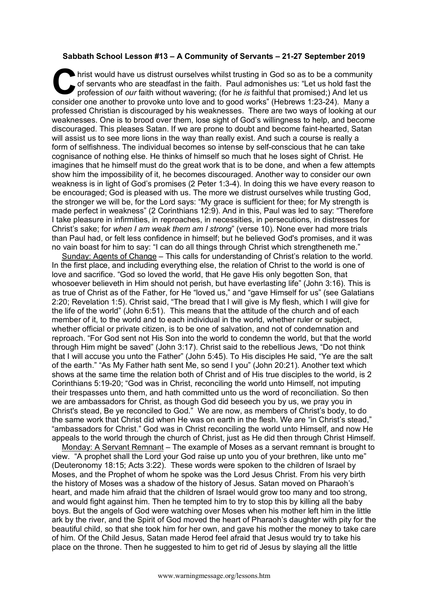## **Sabbath School Lesson #13 – A Community of Servants – 21-27 September 2019**

hrist would have us distrust ourselves whilst trusting in God so as to be a community of servants who are steadfast in the faith. Paul admonishes us: "Let us hold fast the profession of *our* faith without wavering; (for h of servants who are steadfast in the faith. Paul admonishes us: "Let us hold fast the profession of *our* faith without wavering; (for he *is* faithful that promised;) And let us consider one another to provoke unto love and to good works" (Hebrews 1:23-24). Many a professed Christian is discouraged by his weaknesses. There are two ways of looking at our weaknesses. One is to brood over them, lose sight of God's willingness to help, and become discouraged. This pleases Satan. If we are prone to doubt and become faint-hearted, Satan will assist us to see more lions in the way than really exist. And such a course is really a form of selfishness. The individual becomes so intense by self-conscious that he can take cognisance of nothing else. He thinks of himself so much that he loses sight of Christ. He imagines that he himself must do the great work that is to be done, and when a few attempts show him the impossibility of it, he becomes discouraged. Another way to consider our own weakness is in light of God's promises (2 Peter 1:3-4). In doing this we have every reason to be encouraged; God is pleased with us. The more we distrust ourselves while trusting God, the stronger we will be, for the Lord says: "My grace is sufficient for thee; for My strength is made perfect in weakness" (2 Corinthians 12:9). And in this, Paul was led to say: "Therefore I take pleasure in infirmities, in reproaches, in necessities, in persecutions, in distresses for Christ's sake; for *when I am weak them am I strong*" (verse 10). None ever had more trials than Paul had, or felt less confidence in himself; but he believed God's promises, and it was no vain boast for him to say: "I can do all things through Christ which strengtheneth me."

Sunday: Agents of Change – This calls for understanding of Christ's relation to the world. In the first place, and including everything else, the relation of Christ to the world is one of love and sacrifice. "God so loved the world, that He gave His only begotten Son, that whosoever believeth in Him should not perish, but have everlasting life" (John 3:16). This is as true of Christ as of the Father, for He "loved us," and "gave Himself for us" (see Galatians 2:20; Revelation 1:5). Christ said, "The bread that I will give is My flesh, which I will give for the life of the world" (John 6:51). This means that the attitude of the church and of each member of it, to the world and to each individual in the world, whether ruler or subject, whether official or private citizen, is to be one of salvation, and not of condemnation and reproach. "For God sent not His Son into the world to condemn the world, but that the world through Him might be saved" (John 3:17). Christ said to the rebellious Jews, "Do not think that I will accuse you unto the Father" (John 5:45). To His disciples He said, "Ye are the salt of the earth." "As My Father hath sent Me, so send I you" (John 20:21). Another text which shows at the same time the relation both of Christ and of His true disciples to the world, is 2 Corinthians 5:19-20; "God was in Christ, reconciling the world unto Himself, not imputing their trespasses unto them, and hath committed unto us the word of reconciliation. So then we are ambassadors for Christ, as though God did beseech you by us, we pray you in Christ's stead, Be ye reconciled to God." We are now, as members of Christ's body, to do the same work that Christ did when He was on earth in the flesh. We are "in Christ's stead," "ambassadors for Christ." God was in Christ reconciling the world unto Himself, and now He appeals to the world through the church of Christ, just as He did then through Christ Himself.

Monday: A Servant Remnant - The example of Moses as a servant remnant is brought to view. "A prophet shall the Lord your God raise up unto you of your brethren, like unto me" (Deuteronomy 18:15; Acts 3:22). These words were spoken to the children of Israel by Moses, and the Prophet of whom he spoke was the Lord Jesus Christ. From his very birth the history of Moses was a shadow of the history of Jesus. Satan moved on Pharaoh's heart, and made him afraid that the children of Israel would grow too many and too strong, and would fight against him. Then he tempted him to try to stop this by killing all the baby boys. But the angels of God were watching over Moses when his mother left him in the little ark by the river, and the Spirit of God moved the heart of Pharaoh's daughter with pity for the beautiful child, so that she took him for her own, and gave his mother the money to take care of him. Of the Child Jesus, Satan made Herod feel afraid that Jesus would try to take his place on the throne. Then he suggested to him to get rid of Jesus by slaying all the little